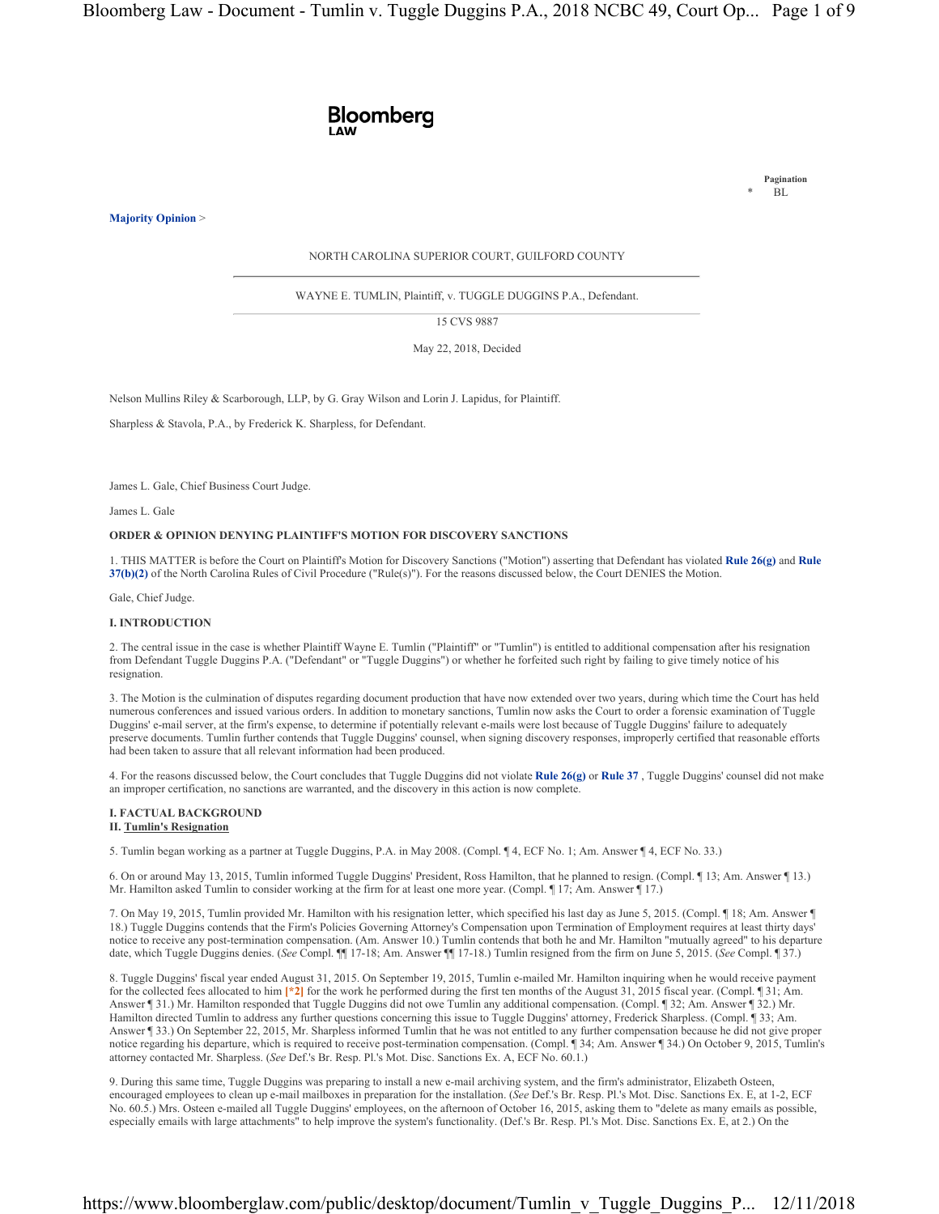

**Majority Opinion** >

**Pagination**  $\overline{B}L$ 

NORTH CAROLINA SUPERIOR COURT, GUILFORD COUNTY

WAYNE E. TUMLIN, Plaintiff, v. TUGGLE DUGGINS P.A., Defendant.

15 CVS 9887

May 22, 2018, Decided

Nelson Mullins Riley & Scarborough, LLP, by G. Gray Wilson and Lorin J. Lapidus, for Plaintiff.

Sharpless & Stavola, P.A., by Frederick K. Sharpless, for Defendant.

James L. Gale, Chief Business Court Judge.

James L. Gale

## **ORDER & OPINION DENYING PLAINTIFF'S MOTION FOR DISCOVERY SANCTIONS**

1. THIS MATTER is before the Court on Plaintiff's Motion for Discovery Sanctions ("Motion") asserting that Defendant has violated **Rule 26(g)** and **Rule 37(b)(2)** of the North Carolina Rules of Civil Procedure ("Rule(s)"). For the reasons discussed below, the Court DENIES the Motion.

Gale, Chief Judge.

# **I. INTRODUCTION**

2. The central issue in the case is whether Plaintiff Wayne E. Tumlin ("Plaintiff" or "Tumlin") is entitled to additional compensation after his resignation from Defendant Tuggle Duggins P.A. ("Defendant" or "Tuggle Duggins") or whether he forfeited such right by failing to give timely notice of his resignation.

3. The Motion is the culmination of disputes regarding document production that have now extended over two years, during which time the Court has held numerous conferences and issued various orders. In addition to monetary sanctions, Tumlin now asks the Court to order a forensic examination of Tuggle Duggins' e-mail server, at the firm's expense, to determine if potentially relevant e-mails were lost because of Tuggle Duggins' failure to adequately preserve documents. Tumlin further contends that Tuggle Duggins' counsel, when signing discovery responses, improperly certified that reasonable efforts had been taken to assure that all relevant information had been produced.

4. For the reasons discussed below, the Court concludes that Tuggle Duggins did not violate **Rule 26(g)** or **Rule 37** , Tuggle Duggins' counsel did not make an improper certification, no sanctions are warranted, and the discovery in this action is now complete.

#### **I. FACTUAL BACKGROUND II. Tumlin's Resignation**

5. Tumlin began working as a partner at Tuggle Duggins, P.A. in May 2008. (Compl. ¶ 4, ECF No. 1; Am. Answer ¶ 4, ECF No. 33.)

6. On or around May 13, 2015, Tumlin informed Tuggle Duggins' President, Ross Hamilton, that he planned to resign. (Compl. ¶ 13; Am. Answer ¶ 13.) Mr. Hamilton asked Tumlin to consider working at the firm for at least one more year. (Compl. ¶ 17; Am. Answer ¶ 17.)

7. On May 19, 2015, Tumlin provided Mr. Hamilton with his resignation letter, which specified his last day as June 5, 2015. (Compl. ¶ 18; Am. Answer ¶ 18.) Tuggle Duggins contends that the Firm's Policies Governing Attorney's Compensation upon Termination of Employment requires at least thirty days' notice to receive any post-termination compensation. (Am. Answer 10.) Tumlin contends that both he and Mr. Hamilton "mutually agreed" to his departure date, which Tuggle Duggins denies. (*See* Compl. ¶¶ 17-18; Am. Answer ¶¶ 17-18.) Tumlin resigned from the firm on June 5, 2015. (*See* Compl. ¶ 37.)

8. Tuggle Duggins' fiscal year ended August 31, 2015. On September 19, 2015, Tumlin e-mailed Mr. Hamilton inquiring when he would receive payment for the collected fees allocated to him **[\*2]** for the work he performed during the first ten months of the August 31, 2015 fiscal year. (Compl. ¶ 31; Am. Answer ¶ 31.) Mr. Hamilton responded that Tuggle Duggins did not owe Tumlin any additional compensation. (Compl. ¶ 32; Am. Answer ¶ 32.) Mr. Hamilton directed Tumlin to address any further questions concerning this issue to Tuggle Duggins' attorney, Frederick Sharpless. (Compl. ¶ 33; Am. Answer ¶ 33.) On September 22, 2015, Mr. Sharpless informed Tumlin that he was not entitled to any further compensation because he did not give proper notice regarding his departure, which is required to receive post-termination compensation. (Compl. ¶ 34; Am. Answer ¶ 34.) On October 9, 2015, Tumlin's attorney contacted Mr. Sharpless. (*See* Def.'s Br. Resp. Pl.'s Mot. Disc. Sanctions Ex. A, ECF No. 60.1.)

9. During this same time, Tuggle Duggins was preparing to install a new e-mail archiving system, and the firm's administrator, Elizabeth Osteen, encouraged employees to clean up e-mail mailboxes in preparation for the installation. (*See* Def.'s Br. Resp. Pl.'s Mot. Disc. Sanctions Ex. E, at 1-2, ECF No. 60.5.) Mrs. Osteen e-mailed all Tuggle Duggins' employees, on the afternoon of October 16, 2015, asking them to "delete as many emails as possible, especially emails with large attachments" to help improve the system's functionality. (Def.'s Br. Resp. Pl.'s Mot. Disc. Sanctions Ex. E, at 2.) On the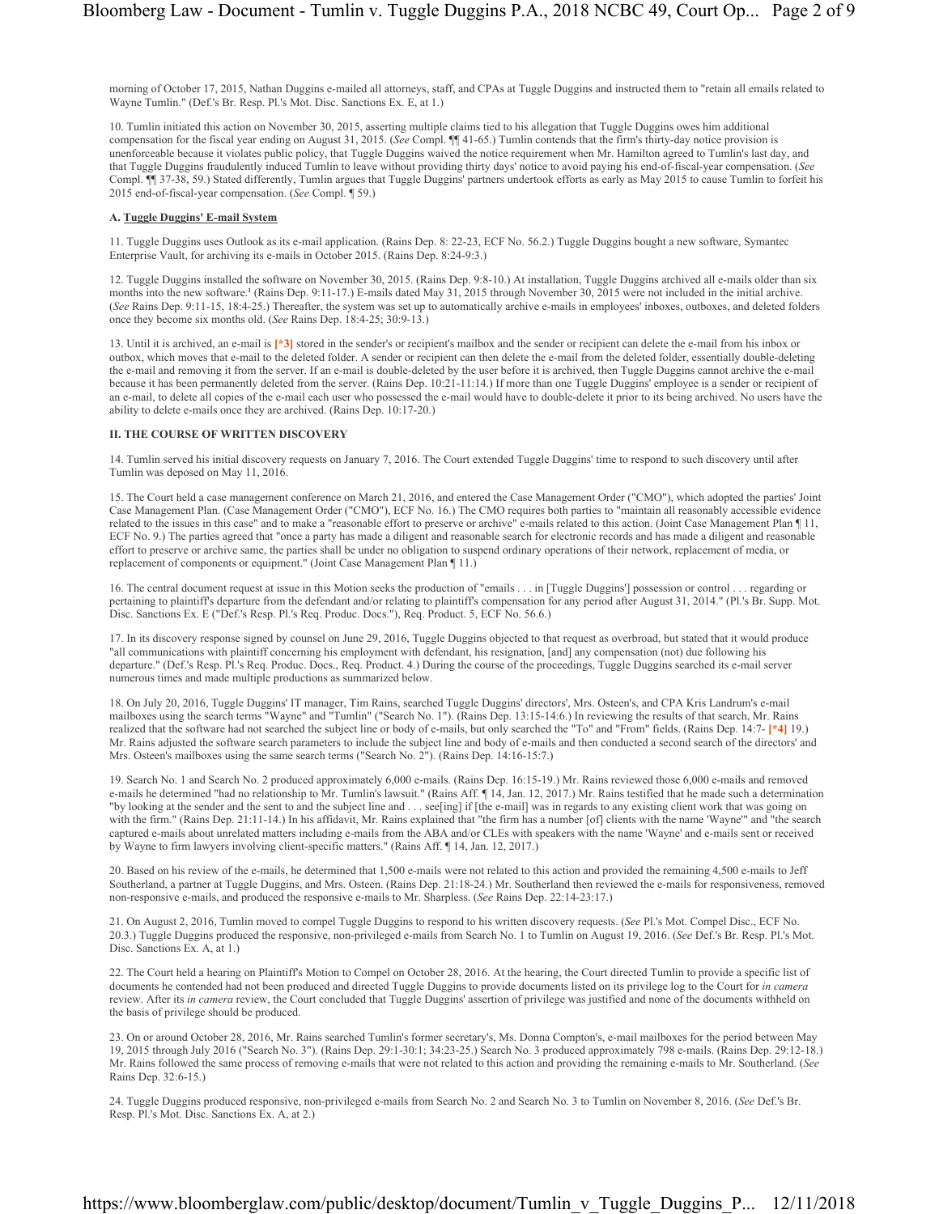morning of October 17, 2015, Nathan Duggins e-mailed all attorneys, staff, and CPAs at Tuggle Duggins and instructed them to "retain all emails related to Wayne Tumlin." (Def.'s Br. Resp. Pl.'s Mot. Disc. Sanctions Ex. E, at 1.)

10. Tumlin initiated this action on November 30, 2015, asserting multiple claims tied to his allegation that Tuggle Duggins owes him additional compensation for the fiscal year ending on August 31, 2015. (*See* Compl. ¶¶ 41-65.) Tumlin contends that the firm's thirty-day notice provision is unenforceable because it violates public policy, that Tuggle Duggins waived the notice requirement when Mr. Hamilton agreed to Tumlin's last day, and that Tuggle Duggins fraudulently induced Tumlin to leave without providing thirty days' notice to avoid paying his end-of-fiscal-year compensation. (*See* Compl. ¶¶ 37-38, 59.) Stated differently, Tumlin argues that Tuggle Duggins' partners undertook efforts as early as May 2015 to cause Tumlin to forfeit his 2015 end-of-fiscal-year compensation. (*See* Compl. ¶ 59.)

# **A. Tuggle Duggins' E-mail System**

11. Tuggle Duggins uses Outlook as its e-mail application. (Rains Dep. 8: 22-23, ECF No. 56.2.) Tuggle Duggins bought a new software, Symantec Enterprise Vault, for archiving its e-mails in October 2015. (Rains Dep. 8:24-9:3.)

12. Tuggle Duggins installed the software on November 30, 2015. (Rains Dep. 9:8-10.) At installation, Tuggle Duggins archived all e-mails older than six months into the new software.<sup>1</sup> (Rains Dep. 9:11-17.) E-mails dated May 31, 2015 through November 30, 2015 were not included in the initial archive. (*See* Rains Dep. 9:11-15, 18:4-25.) Thereafter, the system was set up to automatically archive e-mails in employees' inboxes, outboxes, and deleted folders once they become six months old. (*See* Rains Dep. 18:4-25; 30:9-13.)

13. Until it is archived, an e-mail is **[\*3]** stored in the sender's or recipient's mailbox and the sender or recipient can delete the e-mail from his inbox or outbox, which moves that e-mail to the deleted folder. A sender or recipient can then delete the e-mail from the deleted folder, essentially double-deleting the e-mail and removing it from the server. If an e-mail is double-deleted by the user before it is archived, then Tuggle Duggins cannot archive the e-mail because it has been permanently deleted from the server. (Rains Dep. 10:21-11:14.) If more than one Tuggle Duggins' employee is a sender or recipient of an e-mail, to delete all copies of the e-mail each user who possessed the e-mail would have to double-delete it prior to its being archived. No users have the ability to delete e-mails once they are archived. (Rains Dep. 10:17-20.)

## **II. THE COURSE OF WRITTEN DISCOVERY**

14. Tumlin served his initial discovery requests on January 7, 2016. The Court extended Tuggle Duggins' time to respond to such discovery until after Tumlin was deposed on May 11, 2016.

15. The Court held a case management conference on March 21, 2016, and entered the Case Management Order ("CMO"), which adopted the parties' Joint Case Management Plan. (Case Management Order ("CMO"), ECF No. 16.) The CMO requires both parties to "maintain all reasonably accessible evidence related to the issues in this case" and to make a "reasonable effort to preserve or archive" e-mails related to this action. (Joint Case Management Plan ¶ 11, ECF No. 9.) The parties agreed that "once a party has made a diligent and reasonable search for electronic records and has made a diligent and reasonable effort to preserve or archive same, the parties shall be under no obligation to suspend ordinary operations of their network, replacement of media, or replacement of components or equipment." (Joint Case Management Plan ¶ 11.)

16. The central document request at issue in this Motion seeks the production of "emails . . . in [Tuggle Duggins'] possession or control . . . regarding or pertaining to plaintiff's departure from the defendant and/or relating to plaintiff's compensation for any period after August 31, 2014." (Pl.'s Br. Supp. Mot. Disc. Sanctions Ex. E ("Def.'s Resp. Pl.'s Req. Produc. Docs."), Req. Product. 5, ECF No. 56.6.)

17. In its discovery response signed by counsel on June 29, 2016, Tuggle Duggins objected to that request as overbroad, but stated that it would produce "all communications with plaintiff concerning his employment with defendant, his resignation, [and] any compensation (not) due following his departure." (Def.'s Resp. Pl.'s Req. Produc. Docs., Req. Product. 4.) During the course of the proceedings, Tuggle Duggins searched its e-mail server numerous times and made multiple productions as summarized below.

18. On July 20, 2016, Tuggle Duggins' IT manager, Tim Rains, searched Tuggle Duggins' directors', Mrs. Osteen's, and CPA Kris Landrum's e-mail mailboxes using the search terms "Wayne" and "Tumlin" ("Search No. 1"). (Rains Dep. 13:15-14:6.) In reviewing the results of that search, Mr. Rains realized that the software had not searched the subject line or body of e-mails, but only searched the "To" and "From" fields. (Rains Dep. 14:7- **[\*4]** 19.) Mr. Rains adjusted the software search parameters to include the subject line and body of e-mails and then conducted a second search of the directors' and Mrs. Osteen's mailboxes using the same search terms ("Search No. 2"). (Rains Dep. 14:16-15:7.)

19. Search No. 1 and Search No. 2 produced approximately 6,000 e-mails. (Rains Dep. 16:15-19.) Mr. Rains reviewed those 6,000 e-mails and removed e-mails he determined "had no relationship to Mr. Tumlin's lawsuit." (Rains Aff.  $\P$  14, Jan. 12, 2017.) Mr. Rains testified that he made such a determination "by looking at the sender and the sent to and the subject line and . . . see[ing] if [the e-mail] was in regards to any existing client work that was going on with the firm." (Rains Dep. 21:11-14.) In his affidavit, Mr. Rains explained that "the firm has a number [of] clients with the name 'Wayne'" and "the search captured e-mails about unrelated matters including e-mails from the ABA and/or CLEs with speakers with the name 'Wayne' and e-mails sent or received by Wayne to firm lawyers involving client-specific matters." (Rains Aff. ¶ 14, Jan. 12, 2017.)

20. Based on his review of the e-mails, he determined that 1,500 e-mails were not related to this action and provided the remaining 4,500 e-mails to Jeff Southerland, a partner at Tuggle Duggins, and Mrs. Osteen. (Rains Dep. 21:18-24.) Mr. Southerland then reviewed the e-mails for responsiveness, removed non-responsive e-mails, and produced the responsive e-mails to Mr. Sharpless. (*See* Rains Dep. 22:14-23:17.)

21. On August 2, 2016, Tumlin moved to compel Tuggle Duggins to respond to his written discovery requests. (*See* Pl.'s Mot. Compel Disc., ECF No. 20.3.) Tuggle Duggins produced the responsive, non-privileged e-mails from Search No. 1 to Tumlin on August 19, 2016. (*See* Def.'s Br. Resp. Pl.'s Mot. Disc. Sanctions Ex. A, at 1.)

22. The Court held a hearing on Plaintiff's Motion to Compel on October 28, 2016. At the hearing, the Court directed Tumlin to provide a specific list of documents he contended had not been produced and directed Tuggle Duggins to provide documents listed on its privilege log to the Court for *in camera* review. After its *in camera* review, the Court concluded that Tuggle Duggins' assertion of privilege was justified and none of the documents withheld on the basis of privilege should be produced.

23. On or around October 28, 2016, Mr. Rains searched Tumlin's former secretary's, Ms. Donna Compton's, e-mail mailboxes for the period between May 19, 2015 through July 2016 ("Search No. 3"). (Rains Dep. 29:1-30:1; 34:23-25.) Search No. 3 produced approximately 798 e-mails. (Rains Dep. 29:12-18.) Mr. Rains followed the same process of removing e-mails that were not related to this action and providing the remaining e-mails to Mr. Southerland. (*See* Rains Dep. 32:6-15.)

24. Tuggle Duggins produced responsive, non-privileged e-mails from Search No. 2 and Search No. 3 to Tumlin on November 8, 2016. (*See* Def.'s Br. Resp. Pl.'s Mot. Disc. Sanctions Ex. A, at 2.)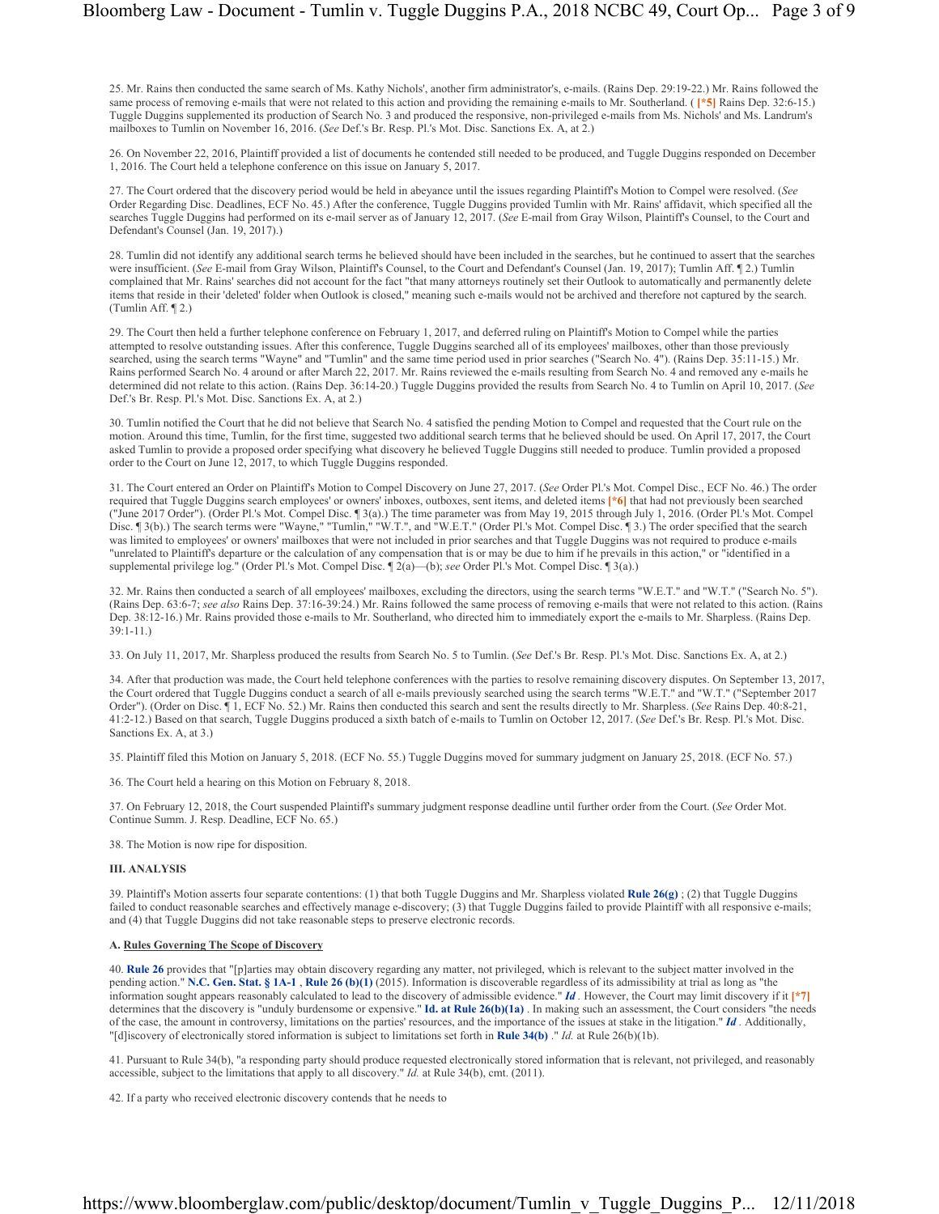25. Mr. Rains then conducted the same search of Ms. Kathy Nichols', another firm administrator's, e-mails. (Rains Dep. 29:19-22.) Mr. Rains followed the same process of removing e-mails that were not related to this action and providing the remaining e-mails to Mr. Southerland. ( **[\*5]** Rains Dep. 32:6-15.) Tuggle Duggins supplemented its production of Search No. 3 and produced the responsive, non-privileged e-mails from Ms. Nichols' and Ms. Landrum's mailboxes to Tumlin on November 16, 2016. (*See* Def.'s Br. Resp. Pl.'s Mot. Disc. Sanctions Ex. A, at 2.)

26. On November 22, 2016, Plaintiff provided a list of documents he contended still needed to be produced, and Tuggle Duggins responded on December 1, 2016. The Court held a telephone conference on this issue on January 5, 2017.

27. The Court ordered that the discovery period would be held in abeyance until the issues regarding Plaintiff's Motion to Compel were resolved. (*See* Order Regarding Disc. Deadlines, ECF No. 45.) After the conference, Tuggle Duggins provided Tumlin with Mr. Rains' affidavit, which specified all the searches Tuggle Duggins had performed on its e-mail server as of January 12, 2017. (*See* E-mail from Gray Wilson, Plaintiff's Counsel, to the Court and Defendant's Counsel (Jan. 19, 2017).)

28. Tumlin did not identify any additional search terms he believed should have been included in the searches, but he continued to assert that the searches were insufficient. (*See* E-mail from Gray Wilson, Plaintiff's Counsel, to the Court and Defendant's Counsel (Jan. 19, 2017); Tumlin Aff. ¶ 2.) Tumlin complained that Mr. Rains' searches did not account for the fact "that many attorneys routinely set their Outlook to automatically and permanently delete items that reside in their 'deleted' folder when Outlook is closed," meaning such e-mails would not be archived and therefore not captured by the search. (Tumlin Aff. ¶ 2.)

29. The Court then held a further telephone conference on February 1, 2017, and deferred ruling on Plaintiff's Motion to Compel while the parties attempted to resolve outstanding issues. After this conference, Tuggle Duggins searched all of its employees' mailboxes, other than those previously searched, using the search terms "Wayne" and "Tumlin" and the same time period used in prior searches ("Search No. 4"). (Rains Dep. 35:11-15.) Mr. Rains performed Search No. 4 around or after March 22, 2017. Mr. Rains reviewed the e-mails resulting from Search No. 4 and removed any e-mails he determined did not relate to this action. (Rains Dep. 36:14-20.) Tuggle Duggins provided the results from Search No. 4 to Tumlin on April 10, 2017. (*See* Def.'s Br. Resp. Pl.'s Mot. Disc. Sanctions Ex. A, at 2.)

30. Tumlin notified the Court that he did not believe that Search No. 4 satisfied the pending Motion to Compel and requested that the Court rule on the motion. Around this time, Tumlin, for the first time, suggested two additional search terms that he believed should be used. On April 17, 2017, the Court asked Tumlin to provide a proposed order specifying what discovery he believed Tuggle Duggins still needed to produce. Tumlin provided a proposed order to the Court on June 12, 2017, to which Tuggle Duggins responded.

31. The Court entered an Order on Plaintiff's Motion to Compel Discovery on June 27, 2017. (*See* Order Pl.'s Mot. Compel Disc., ECF No. 46.) The order required that Tuggle Duggins search employees' or owners' inboxes, outboxes, sent items, and deleted items **[\*6]** that had not previously been searched ("June 2017 Order"). (Order Pl.'s Mot. Compel Disc. ¶ 3(a).) The time parameter was from May 19, 2015 through July 1, 2016. (Order Pl.'s Mot. Compel Disc. ¶ 3(b).) The search terms were "Wayne," "Tumlin," "W.T.", and "W.E.T." (Order Pl.'s Mot. Compel Disc. ¶ 3.) The order specified that the search was limited to employees' or owners' mailboxes that were not included in prior searches and that Tuggle Duggins was not required to produce e-mails "unrelated to Plaintiff's departure or the calculation of any compensation that is or may be due to him if he prevails in this action," or "identified in a supplemental privilege log." (Order Pl.'s Mot. Compel Disc. ¶ 2(a)—(b); *see* Order Pl.'s Mot. Compel Disc. ¶ 3(a).)

32. Mr. Rains then conducted a search of all employees' mailboxes, excluding the directors, using the search terms "W.E.T." and "W.T." ("Search No. 5"). (Rains Dep. 63:6-7; *see also* Rains Dep. 37:16-39:24.) Mr. Rains followed the same process of removing e-mails that were not related to this action. (Rains Dep. 38:12-16.) Mr. Rains provided those e-mails to Mr. Southerland, who directed him to immediately export the e-mails to Mr. Sharpless. (Rains Dep. 39:1-11.)

33. On July 11, 2017, Mr. Sharpless produced the results from Search No. 5 to Tumlin. (*See* Def.'s Br. Resp. Pl.'s Mot. Disc. Sanctions Ex. A, at 2.)

34. After that production was made, the Court held telephone conferences with the parties to resolve remaining discovery disputes. On September 13, 2017, the Court ordered that Tuggle Duggins conduct a search of all e-mails previously searched using the search terms "W.E.T." and "W.T." ("September 2017 Order"). (Order on Disc. ¶ 1, ECF No. 52.) Mr. Rains then conducted this search and sent the results directly to Mr. Sharpless. (*See* Rains Dep. 40:8-21, 41:2-12.) Based on that search, Tuggle Duggins produced a sixth batch of e-mails to Tumlin on October 12, 2017. (*See* Def.'s Br. Resp. Pl.'s Mot. Disc. Sanctions Ex. A, at 3.)

35. Plaintiff filed this Motion on January 5, 2018. (ECF No. 55.) Tuggle Duggins moved for summary judgment on January 25, 2018. (ECF No. 57.)

36. The Court held a hearing on this Motion on February 8, 2018.

37. On February 12, 2018, the Court suspended Plaintiff's summary judgment response deadline until further order from the Court. (*See* Order Mot. Continue Summ. J. Resp. Deadline, ECF No. 65.)

38. The Motion is now ripe for disposition.

#### **III. ANALYSIS**

39. Plaintiff's Motion asserts four separate contentions: (1) that both Tuggle Duggins and Mr. Sharpless violated **Rule 26(g)** ; (2) that Tuggle Duggins failed to conduct reasonable searches and effectively manage e-discovery; (3) that Tuggle Duggins failed to provide Plaintiff with all responsive e-mails; and (4) that Tuggle Duggins did not take reasonable steps to preserve electronic records.

#### **A. Rules Governing The Scope of Discovery**

40. **Rule 26** provides that "[p]arties may obtain discovery regarding any matter, not privileged, which is relevant to the subject matter involved in the pending action." **N.C. Gen. Stat. § 1A-1** , **Rule 26 (b)(1)** (2015). Information is discoverable regardless of its admissibility at trial as long as "the information sought appears reasonably calculated to lead to the discovery of admissible evidence." *Id .* However, the Court may limit discovery if it **[\*7]** determines that the discovery is "unduly burdensome or expensive." **Id. at Rule 26(b)(1a)** . In making such an assessment, the Court considers "the needs of the case, the amount in controversy, limitations on the parties' resources, and the importance of the issues at stake in the litigation." *Id .* Additionally, "[d]iscovery of electronically stored information is subject to limitations set forth in **Rule 34(b)** ." *Id.* at Rule 26(b)(1b).

41. Pursuant to Rule 34(b), "a responding party should produce requested electronically stored information that is relevant, not privileged, and reasonably accessible, subject to the limitations that apply to all discovery."  $I\hat{d}$  at Rule 34(b), cmt. (2011).

42. If a party who received electronic discovery contends that he needs to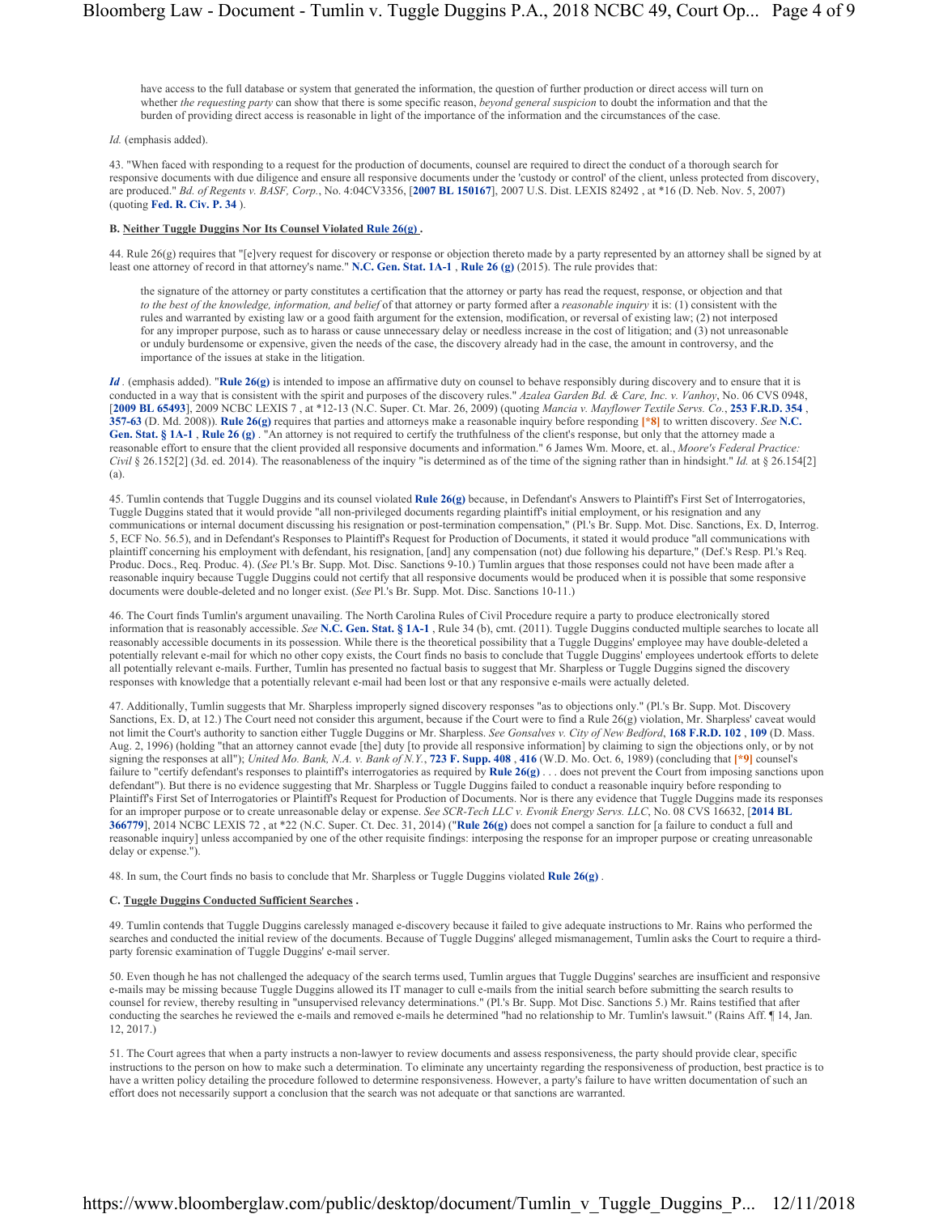have access to the full database or system that generated the information, the question of further production or direct access will turn on whether *the requesting party* can show that there is some specific reason, *beyond general suspicion* to doubt the information and that the burden of providing direct access is reasonable in light of the importance of the information and the circumstances of the case.

#### *Id.* (emphasis added).

43. "When faced with responding to a request for the production of documents, counsel are required to direct the conduct of a thorough search for responsive documents with due diligence and ensure all responsive documents under the 'custody or control' of the client, unless protected from discovery, are produced." *Bd. of Regents v. BASF, Corp.*, No. 4:04CV3356, [**2007 BL 150167**], 2007 U.S. Dist. LEXIS 82492 , at \*16 (D. Neb. Nov. 5, 2007) (quoting **Fed. R. Civ. P. 34** ).

### **B. Neither Tuggle Duggins Nor Its Counsel Violated Rule 26(g) .**

44. Rule 26(g) requires that "[e]very request for discovery or response or objection thereto made by a party represented by an attorney shall be signed by at least one attorney of record in that attorney's name." **N.C. Gen. Stat. 1A-1** , **Rule 26 (g)** (2015). The rule provides that:

the signature of the attorney or party constitutes a certification that the attorney or party has read the request, response, or objection and that *to the best of the knowledge, information, and belief* of that attorney or party formed after a *reasonable inquiry* it is: (1) consistent with the rules and warranted by existing law or a good faith argument for the extension, modification, or reversal of existing law; (2) not interposed for any improper purpose, such as to harass or cause unnecessary delay or needless increase in the cost of litigation; and (3) not unreasonable or unduly burdensome or expensive, given the needs of the case, the discovery already had in the case, the amount in controversy, and the importance of the issues at stake in the litigation.

*Id .* (emphasis added). "**Rule 26(g)** is intended to impose an affirmative duty on counsel to behave responsibly during discovery and to ensure that it is conducted in a way that is consistent with the spirit and purposes of the discovery rules." *Azalea Garden Bd. & Care, Inc. v. Vanhoy*, No. 06 CVS 0948, [**2009 BL 65493**], 2009 NCBC LEXIS 7 , at \*12-13 (N.C. Super. Ct. Mar. 26, 2009) (quoting *Mancia v. Mayflower Textile Servs. Co.*, **253 F.R.D. 354** , **357-63** (D. Md. 2008)). **Rule 26(g)** requires that parties and attorneys make a reasonable inquiry before responding **[\*8]** to written discovery. *See* **N.C. Gen. Stat. § 1A-1** , **Rule 26 (g)** . "An attorney is not required to certify the truthfulness of the client's response, but only that the attorney made a reasonable effort to ensure that the client provided all responsive documents and information." 6 James Wm. Moore, et. al., *Moore's Federal Practice: Civil* § 26.152[2] (3d. ed. 2014). The reasonableness of the inquiry "is determined as of the time of the signing rather than in hindsight." *Id.* at § 26.154[2] (a).

45. Tumlin contends that Tuggle Duggins and its counsel violated **Rule 26(g)** because, in Defendant's Answers to Plaintiff's First Set of Interrogatories, Tuggle Duggins stated that it would provide "all non-privileged documents regarding plaintiff's initial employment, or his resignation and any communications or internal document discussing his resignation or post-termination compensation," (Pl.'s Br. Supp. Mot. Disc. Sanctions, Ex. D, Interrog. 5, ECF No. 56.5), and in Defendant's Responses to Plaintiff's Request for Production of Documents, it stated it would produce "all communications with plaintiff concerning his employment with defendant, his resignation, [and] any compensation (not) due following his departure," (Def.'s Resp. Pl.'s Req. Produc. Docs., Req. Produc. 4). (*See* Pl.'s Br. Supp. Mot. Disc. Sanctions 9-10.) Tumlin argues that those responses could not have been made after a reasonable inquiry because Tuggle Duggins could not certify that all responsive documents would be produced when it is possible that some responsive documents were double-deleted and no longer exist. (*See* Pl.'s Br. Supp. Mot. Disc. Sanctions 10-11.)

46. The Court finds Tumlin's argument unavailing. The North Carolina Rules of Civil Procedure require a party to produce electronically stored information that is reasonably accessible. *See* **N.C. Gen. Stat. § 1A-1** , Rule 34 (b), cmt. (2011). Tuggle Duggins conducted multiple searches to locate all reasonably accessible documents in its possession. While there is the theoretical possibility that a Tuggle Duggins' employee may have double-deleted a potentially relevant e-mail for which no other copy exists, the Court finds no basis to conclude that Tuggle Duggins' employees undertook efforts to delete all potentially relevant e-mails. Further, Tumlin has presented no factual basis to suggest that Mr. Sharpless or Tuggle Duggins signed the discovery responses with knowledge that a potentially relevant e-mail had been lost or that any responsive e-mails were actually deleted.

47. Additionally, Tumlin suggests that Mr. Sharpless improperly signed discovery responses "as to objections only." (Pl.'s Br. Supp. Mot. Discovery Sanctions, Ex. D, at 12.) The Court need not consider this argument, because if the Court were to find a Rule 26(g) violation, Mr. Sharpless' caveat would not limit the Court's authority to sanction either Tuggle Duggins or Mr. Sharpless. *See Gonsalves v. City of New Bedford*, **168 F.R.D. 102** , **109** (D. Mass. Aug. 2, 1996) (holding "that an attorney cannot evade [the] duty [to provide all responsive information] by claiming to sign the objections only, or by not signing the responses at all"); *United Mo. Bank, N.A. v. Bank of N.Y.*, **723 F. Supp. 408** , **416** (W.D. Mo. Oct. 6, 1989) (concluding that **[\*9]** counsel's failure to "certify defendant's responses to plaintiff's interrogatories as required by **Rule 26(g)** . . . does not prevent the Court from imposing sanctions upon defendant"). But there is no evidence suggesting that Mr. Sharpless or Tuggle Duggins failed to conduct a reasonable inquiry before responding to Plaintiff's First Set of Interrogatories or Plaintiff's Request for Production of Documents. Nor is there any evidence that Tuggle Duggins made its responses for an improper purpose or to create unreasonable delay or expense. *See SCR-Tech LLC v. Evonik Energy Servs. LLC*, No. 08 CVS 16632, [**2014 BL 366779**], 2014 NCBC LEXIS 72 , at \*22 (N.C. Super. Ct. Dec. 31, 2014) ("**Rule 26(g)** does not compel a sanction for [a failure to conduct a full and reasonable inquiry] unless accompanied by one of the other requisite findings: interposing the response for an improper purpose or creating unreasonable delay or expense.").

48. In sum, the Court finds no basis to conclude that Mr. Sharpless or Tuggle Duggins violated **Rule 26(g)** .

#### **C. Tuggle Duggins Conducted Sufficient Searches .**

49. Tumlin contends that Tuggle Duggins carelessly managed e-discovery because it failed to give adequate instructions to Mr. Rains who performed the searches and conducted the initial review of the documents. Because of Tuggle Duggins' alleged mismanagement, Tumlin asks the Court to require a thirdparty forensic examination of Tuggle Duggins' e-mail server.

50. Even though he has not challenged the adequacy of the search terms used, Tumlin argues that Tuggle Duggins' searches are insufficient and responsive e-mails may be missing because Tuggle Duggins allowed its IT manager to cull e-mails from the initial search before submitting the search results to counsel for review, thereby resulting in "unsupervised relevancy determinations." (Pl.'s Br. Supp. Mot Disc. Sanctions 5.) Mr. Rains testified that after conducting the searches he reviewed the e-mails and removed e-mails he determined "had no relationship to Mr. Tumlin's lawsuit." (Rains Aff. ¶ 14, Jan. 12, 2017.)

51. The Court agrees that when a party instructs a non-lawyer to review documents and assess responsiveness, the party should provide clear, specific instructions to the person on how to make such a determination. To eliminate any uncertainty regarding the responsiveness of production, best practice is to have a written policy detailing the procedure followed to determine responsiveness. However, a party's failure to have written documentation of such an effort does not necessarily support a conclusion that the search was not adequate or that sanctions are warranted.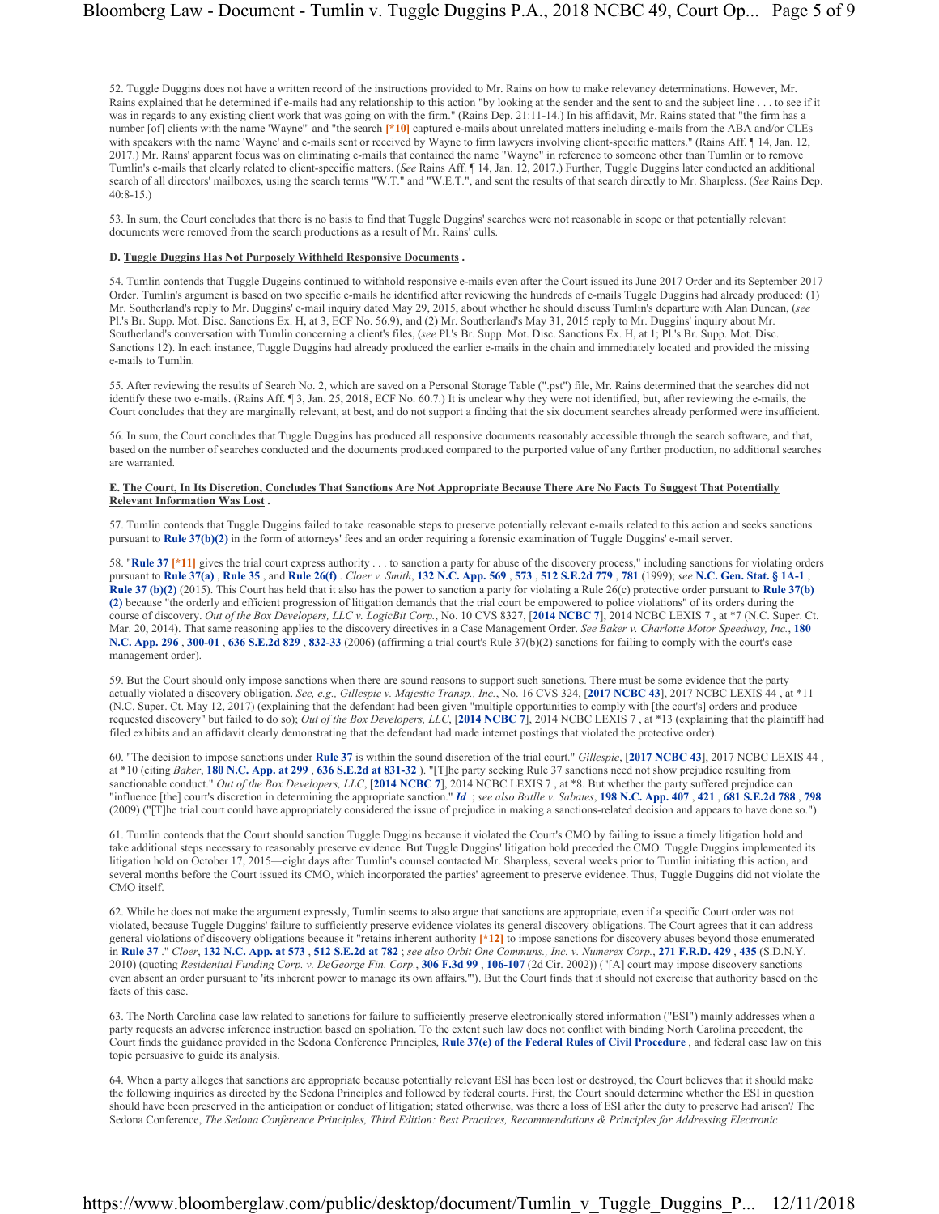52. Tuggle Duggins does not have a written record of the instructions provided to Mr. Rains on how to make relevancy determinations. However, Mr. Rains explained that he determined if e-mails had any relationship to this action "by looking at the sender and the sent to and the subject line . . . to see if it was in regards to any existing client work that was going on with the firm." (Rains Dep. 21:11-14.) In his affidavit, Mr. Rains stated that "the firm has a number [of] clients with the name 'Wayne'" and "the search **[\*10]** captured e-mails about unrelated matters including e-mails from the ABA and/or CLEs with speakers with the name 'Wayne' and e-mails sent or received by Wayne to firm lawyers involving client-specific matters." (Rains Aff. 1 14, Jan. 12, 2017.) Mr. Rains' apparent focus was on eliminating e-mails that contained the name "Wayne" in reference to someone other than Tumlin or to remove Tumlin's e-mails that clearly related to client-specific matters. (*See* Rains Aff. ¶ 14, Jan. 12, 2017.) Further, Tuggle Duggins later conducted an additional search of all directors' mailboxes, using the search terms "W.T." and "W.E.T.", and sent the results of that search directly to Mr. Sharpless. (*See* Rains Dep. 40:8-15.)

53. In sum, the Court concludes that there is no basis to find that Tuggle Duggins' searches were not reasonable in scope or that potentially relevant documents were removed from the search productions as a result of Mr. Rains' culls.

#### **D. Tuggle Duggins Has Not Purposely Withheld Responsive Documents .**

54. Tumlin contends that Tuggle Duggins continued to withhold responsive e-mails even after the Court issued its June 2017 Order and its September 2017 Order. Tumlin's argument is based on two specific e-mails he identified after reviewing the hundreds of e-mails Tuggle Duggins had already produced: (1) Mr. Southerland's reply to Mr. Duggins' e-mail inquiry dated May 29, 2015, about whether he should discuss Tumlin's departure with Alan Duncan, (*see* Pl.'s Br. Supp. Mot. Disc. Sanctions Ex. H, at 3, ECF No. 56.9), and (2) Mr. Southerland's May 31, 2015 reply to Mr. Duggins' inquiry about Mr. Southerland's conversation with Tumlin concerning a client's files, (*see* Pl.'s Br. Supp. Mot. Disc. Sanctions Ex. H, at 1; Pl.'s Br. Supp. Mot. Disc. Sanctions 12). In each instance, Tuggle Duggins had already produced the earlier e-mails in the chain and immediately located and provided the missing e-mails to Tumlin.

55. After reviewing the results of Search No. 2, which are saved on a Personal Storage Table (".pst") file, Mr. Rains determined that the searches did not identify these two e-mails. (Rains Aff. ¶ 3, Jan. 25, 2018, ECF No. 60.7.) It is unclear why they were not identified, but, after reviewing the e-mails, the Court concludes that they are marginally relevant, at best, and do not support a finding that the six document searches already performed were insufficient.

56. In sum, the Court concludes that Tuggle Duggins has produced all responsive documents reasonably accessible through the search software, and that, based on the number of searches conducted and the documents produced compared to the purported value of any further production, no additional searches are warranted.

## **E. The Court, In Its Discretion, Concludes That Sanctions Are Not Appropriate Because There Are No Facts To Suggest That Potentially Relevant Information Was Lost .**

57. Tumlin contends that Tuggle Duggins failed to take reasonable steps to preserve potentially relevant e-mails related to this action and seeks sanctions pursuant to **Rule 37(b)(2)** in the form of attorneys' fees and an order requiring a forensic examination of Tuggle Duggins' e-mail server.

58. "Rule 37 <sup>\*</sup>11] gives the trial court express authority . . . to sanction a party for abuse of the discovery process," including sanctions for violating orders pursuant to **Rule 37(a)** , **Rule 35** , and **Rule 26(f)** . *Cloer v. Smith*, **132 N.C. App. 569** , **573** , **512 S.E.2d 779** , **781** (1999); *see* **N.C. Gen. Stat. § 1A-1** , **Rule 37 (b)(2)** (2015). This Court has held that it also has the power to sanction a party for violating a Rule 26(c) protective order pursuant to **Rule 37(b) (2)** because "the orderly and efficient progression of litigation demands that the trial court be empowered to police violations" of its orders during the course of discovery. *Out of the Box Developers, LLC v. LogicBit Corp.*, No. 10 CVS 8327, [**2014 NCBC 7**], 2014 NCBC LEXIS 7 , at \*7 (N.C. Super. Ct. Mar. 20, 2014). That same reasoning applies to the discovery directives in a Case Management Order. *See Baker v. Charlotte Motor Speedway, Inc.*, **180 N.C. App. 296** , **300-01** , **636 S.E.2d 829** , **832-33** (2006) (affirming a trial court's Rule 37(b)(2) sanctions for failing to comply with the court's case management order).

59. But the Court should only impose sanctions when there are sound reasons to support such sanctions. There must be some evidence that the party actually violated a discovery obligation. *See, e.g., Gillespie v. Majestic Transp., Inc.*, No. 16 CVS 324, [**2017 NCBC 43**], 2017 NCBC LEXIS 44 , at \*11 (N.C. Super. Ct. May 12, 2017) (explaining that the defendant had been given "multiple opportunities to comply with [the court's] orders and produce requested discovery" but failed to do so); *Out of the Box Developers, LLC*, [**2014 NCBC 7**], 2014 NCBC LEXIS 7 , at \*13 (explaining that the plaintiff had filed exhibits and an affidavit clearly demonstrating that the defendant had made internet postings that violated the protective order).

60. "The decision to impose sanctions under **Rule 37** is within the sound discretion of the trial court." *Gillespie*, [**2017 NCBC 43**], 2017 NCBC LEXIS 44 , at \*10 (citing *Baker*, **180 N.C. App. at 299** , **636 S.E.2d at 831-32** ). "[T]he party seeking Rule 37 sanctions need not show prejudice resulting from sanctionable conduct." *Out of the Box Developers, LLC*, [**2014 NCBC 7**], 2014 NCBC LEXIS 7 , at \*8. But whether the party suffered prejudice can "influence [the] court's discretion in determining the appropriate sanction." *Id .*; *see also Batlle v. Sabates*, **198 N.C. App. 407** , **421** , **681 S.E.2d 788** , **798** (2009) ("[T]he trial court could have appropriately considered the issue of prejudice in making a sanctions-related decision and appears to have done so.").

61. Tumlin contends that the Court should sanction Tuggle Duggins because it violated the Court's CMO by failing to issue a timely litigation hold and take additional steps necessary to reasonably preserve evidence. But Tuggle Duggins' litigation hold preceded the CMO. Tuggle Duggins implemented its litigation hold on October 17, 2015—eight days after Tumlin's counsel contacted Mr. Sharpless, several weeks prior to Tumlin initiating this action, and several months before the Court issued its CMO, which incorporated the parties' agreement to preserve evidence. Thus, Tuggle Duggins did not violate the CMO itself.

62. While he does not make the argument expressly, Tumlin seems to also argue that sanctions are appropriate, even if a specific Court order was not violated, because Tuggle Duggins' failure to sufficiently preserve evidence violates its general discovery obligations. The Court agrees that it can address general violations of discovery obligations because it "retains inherent authority **[\*12]** to impose sanctions for discovery abuses beyond those enumerated in **Rule 37** ." *Cloer*, **132 N.C. App. at 573** , **512 S.E.2d at 782** ; *see also Orbit One Communs., Inc. v. Numerex Corp.*, **271 F.R.D. 429** , **435** (S.D.N.Y. 2010) (quoting *Residential Funding Corp. v. DeGeorge Fin. Corp.*, **306 F.3d 99** , **106-107** (2d Cir. 2002)) ("[A] court may impose discovery sanctions even absent an order pursuant to 'its inherent power to manage its own affairs.""). But the Court finds that it should not exercise that authority based on the facts of this case.

63. The North Carolina case law related to sanctions for failure to sufficiently preserve electronically stored information ("ESI") mainly addresses when a party requests an adverse inference instruction based on spoliation. To the extent such law does not conflict with binding North Carolina precedent, the Court finds the guidance provided in the Sedona Conference Principles, **Rule 37(e) of the Federal Rules of Civil Procedure** , and federal case law on this topic persuasive to guide its analysis.

64. When a party alleges that sanctions are appropriate because potentially relevant ESI has been lost or destroyed, the Court believes that it should make the following inquiries as directed by the Sedona Principles and followed by federal courts. First, the Court should determine whether the ESI in question should have been preserved in the anticipation or conduct of litigation; stated otherwise, was there a loss of ESI after the duty to preserve had arisen? The Sedona Conference, *The Sedona Conference Principles, Third Edition: Best Practices, Recommendations & Principles for Addressing Electronic*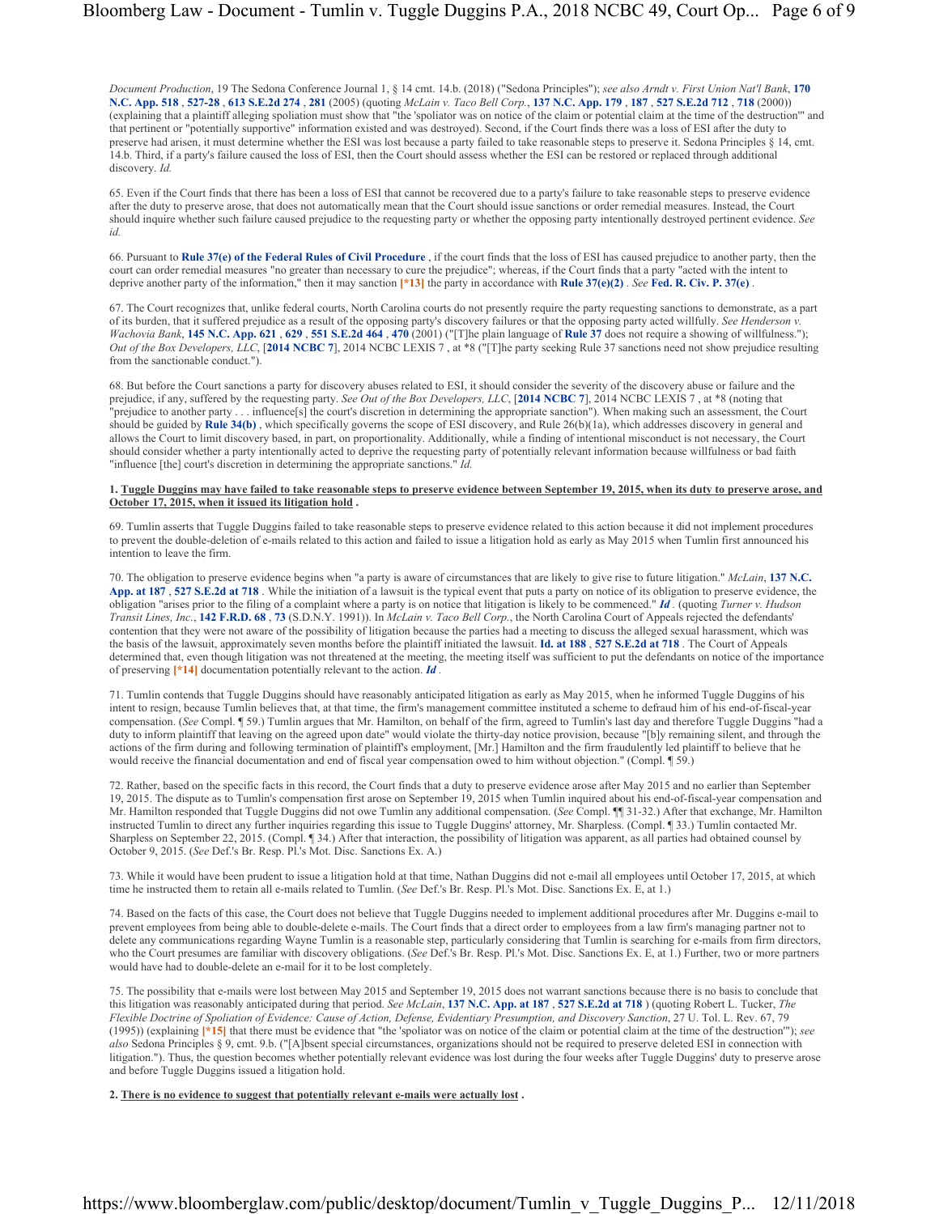*Document Production*, 19 The Sedona Conference Journal 1, § 14 cmt. 14.b. (2018) ("Sedona Principles"); *see also Arndt v. First Union Nat'l Bank*, **170 N.C. App. 518** , **527-28** , **613 S.E.2d 274** , **281** (2005) (quoting *McLain v. Taco Bell Corp.*, **137 N.C. App. 179** , **187** , **527 S.E.2d 712** , **718** (2000)) (explaining that a plaintiff alleging spoliation must show that "the 'spoliator was on notice of the claim or potential claim at the time of the destruction'" and that pertinent or "potentially supportive" information existed and was destroyed). Second, if the Court finds there was a loss of ESI after the duty to preserve had arisen, it must determine whether the ESI was lost because a party failed to take reasonable steps to preserve it. Sedona Principles § 14, cmt. 14.b. Third, if a party's failure caused the loss of ESI, then the Court should assess whether the ESI can be restored or replaced through additional discovery. *Id.*

65. Even if the Court finds that there has been a loss of ESI that cannot be recovered due to a party's failure to take reasonable steps to preserve evidence after the duty to preserve arose, that does not automatically mean that the Court should issue sanctions or order remedial measures. Instead, the Court should inquire whether such failure caused prejudice to the requesting party or whether the opposing party intentionally destroyed pertinent evidence. *See id.*

66. Pursuant to **Rule 37(e) of the Federal Rules of Civil Procedure** , if the court finds that the loss of ESI has caused prejudice to another party, then the court can order remedial measures "no greater than necessary to cure the prejudice"; whereas, if the Court finds that a party "acted with the intent to deprive another party of the information," then it may sanction **[\*13]** the party in accordance with **Rule 37(e)(2)** . *See* **Fed. R. Civ. P. 37(e)** .

67. The Court recognizes that, unlike federal courts, North Carolina courts do not presently require the party requesting sanctions to demonstrate, as a part of its burden, that it suffered prejudice as a result of the opposing party's discovery failures or that the opposing party acted willfully. *See Henderson v. Wachovia Bank*, **145 N.C. App. 621** , **629** , **551 S.E.2d 464** , **470** (2001) ("[T]he plain language of **Rule 37** does not require a showing of willfulness."); *Out of the Box Developers, LLC*, [**2014 NCBC 7**], 2014 NCBC LEXIS 7 , at \*8 ("[T]he party seeking Rule 37 sanctions need not show prejudice resulting from the sanctionable conduct.").

68. But before the Court sanctions a party for discovery abuses related to ESI, it should consider the severity of the discovery abuse or failure and the prejudice, if any, suffered by the requesting party. *See Out of the Box Developers, LLC*, [**2014 NCBC 7**], 2014 NCBC LEXIS 7 , at \*8 (noting that "prejudice to another party . . . influence[s] the court's discretion in determining the appropriate sanction"). When making such an assessment, the Court should be guided by **Rule 34(b)**, which specifically governs the scope of ESI discovery, and Rule  $26(b)(1a)$ , which addresses discovery in general and allows the Court to limit discovery based, in part, on proportionality. Additionally, while a finding of intentional misconduct is not necessary, the Court should consider whether a party intentionally acted to deprive the requesting party of potentially relevant information because willfulness or bad faith "influence [the] court's discretion in determining the appropriate sanctions." *Id.*

## **1. Tuggle Duggins may have failed to take reasonable steps to preserve evidence between September 19, 2015, when its duty to preserve arose, and October 17, 2015, when it issued its litigation hold .**

69. Tumlin asserts that Tuggle Duggins failed to take reasonable steps to preserve evidence related to this action because it did not implement procedures to prevent the double-deletion of e-mails related to this action and failed to issue a litigation hold as early as May 2015 when Tumlin first announced his to prevent the double-deletion of e-mails related to this action a intention to leave the firm.

70. The obligation to preserve evidence begins when "a party is aware of circumstances that are likely to give rise to future litigation." *McLain*, **137 N.C. App. at 187** , **527 S.E.2d at 718** . While the initiation of a lawsuit is the typical event that puts a party on notice of its obligation to preserve evidence, the obligation "arises prior to the filing of a complaint where a party is on notice that litigation is likely to be commenced." *Id .* (quoting *Turner v. Hudson Transit Lines, Inc.*, **142 F.R.D. 68** , **73** (S.D.N.Y. 1991)). In *McLain v. Taco Bell Corp.*, the North Carolina Court of Appeals rejected the defendants' contention that they were not aware of the possibility of litigation because the parties had a meeting to discuss the alleged sexual harassment, which was the basis of the lawsuit, approximately seven months before the plaintiff initiated the lawsuit. **Id. at 188** , **527 S.E.2d at 718** . The Court of Appeals determined that, even though litigation was not threatened at the meeting, the meeting itself was sufficient to put the defendants on notice of the importance of preserving **[\*14]** documentation potentially relevant to the action. *Id .*

71. Tumlin contends that Tuggle Duggins should have reasonably anticipated litigation as early as May 2015, when he informed Tuggle Duggins of his intent to resign, because Tumlin believes that, at that time, the firm's management committee instituted a scheme to defraud him of his end-of-fiscal-year compensation. (*See* Compl. ¶ 59.) Tumlin argues that Mr. Hamilton, on behalf of the firm, agreed to Tumlin's last day and therefore Tuggle Duggins "had a duty to inform plaintiff that leaving on the agreed upon date" would violate the thirty-day notice provision, because "[b]y remaining silent, and through the actions of the firm during and following termination of plaintiff's employment, [Mr.] Hamilton and the firm fraudulently led plaintiff to believe that he would receive the financial documentation and end of fiscal year compensation owed to him without objection." (Compl. [ 59.)

72. Rather, based on the specific facts in this record, the Court finds that a duty to preserve evidence arose after May 2015 and no earlier than September 19, 2015. The dispute as to Tumlin's compensation first arose on September 19, 2015 when Tumlin inquired about his end-of-fiscal-year compensation and Mr. Hamilton responded that Tuggle Duggins did not owe Tumlin any additional compensation. (*See* Compl. ¶¶ 31-32.) After that exchange, Mr. Hamilton instructed Tumlin to direct any further inquiries regarding this issue to Tuggle Duggins' attorney, Mr. Sharpless. (Compl. ¶ 33.) Tumlin contacted Mr. Sharpless on September 22, 2015. (Compl. ¶ 34.) After that interaction, the possibility of litigation was apparent, as all parties had obtained counsel by October 9, 2015. (*See* Def.'s Br. Resp. Pl.'s Mot. Disc. Sanctions Ex. A.)

73. While it would have been prudent to issue a litigation hold at that time, Nathan Duggins did not e-mail all employees until October 17, 2015, at which time he instructed them to retain all e-mails related to Tumlin. (*See* Def.'s Br. Resp. Pl.'s Mot. Disc. Sanctions Ex. E, at 1.)

74. Based on the facts of this case, the Court does not believe that Tuggle Duggins needed to implement additional procedures after Mr. Duggins e-mail to prevent employees from being able to double-delete e-mails. The Court finds that a direct order to employees from a law firm's managing partner not to delete any communications regarding Wayne Tumlin is a reasonable step, particularly considering that Tumlin is searching for e-mails from firm directors, who the Court presumes are familiar with discovery obligations. (*See* Def.'s Br. Resp. Pl.'s Mot. Disc. Sanctions Ex. E, at 1.) Further, two or more partners would have had to double-delete an e-mail for it to be lost completely.

75. The possibility that e-mails were lost between May 2015 and September 19, 2015 does not warrant sanctions because there is no basis to conclude that this litigation was reasonably anticipated during that period. *See McLain*, **137 N.C. App. at 187** , **527 S.E.2d at 718** ) (quoting Robert L. Tucker, *The Flexible Doctrine of Spoliation of Evidence: Cause of Action, Defense, Evidentiary Presumption, and Discovery Sanction*, 27 U. Tol. L. Rev. 67, 79 (1995)) (explaining **[\*15]** that there must be evidence that "the 'spoliator was on notice of the claim or potential claim at the time of the destruction'"); *see also* Sedona Principles § 9, cmt. 9.b. ("[A]bsent special circumstances, organizations should not be required to preserve deleted ESI in connection with litigation."). Thus, the question becomes whether potentially relevant evidence was lost during the four weeks after Tuggle Duggins' duty to preserve arose and before Tuggle Duggins issued a litigation hold.

**2. There is no evidence to suggest that potentially relevant e-mails were actually lost .**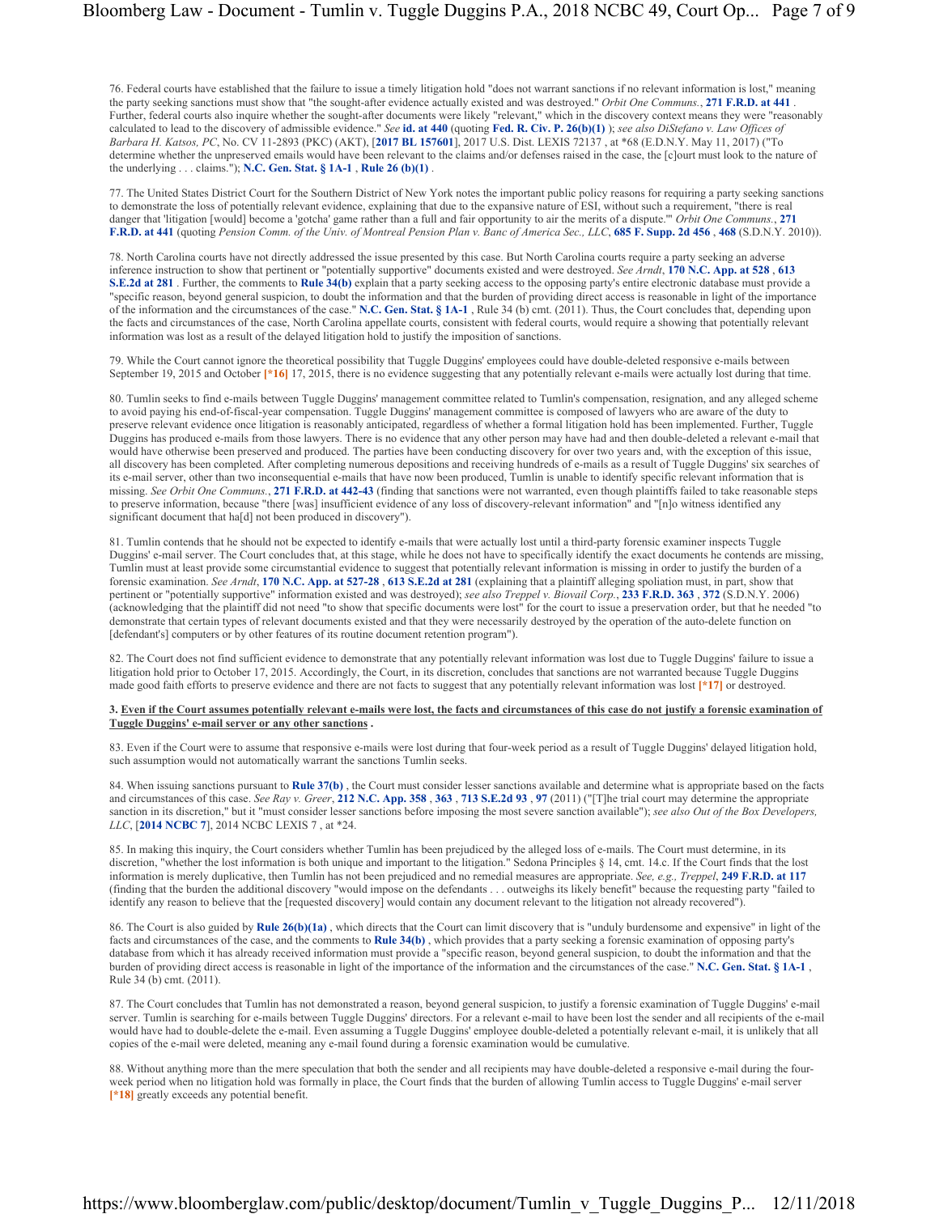76. Federal courts have established that the failure to issue a timely litigation hold "does not warrant sanctions if no relevant information is lost," meaning the party seeking sanctions must show that "the sought-after evidence actually existed and was destroyed." *Orbit One Communs.*, **271 F.R.D. at 441** . Further, federal courts also inquire whether the sought-after documents were likely "relevant," which in the discovery context means they were "reasonably calculated to lead to the discovery of admissible evidence." *See* **id. at 440** (quoting **Fed. R. Civ. P. 26(b)(1)** ); *see also DiStefano v. Law Offices of Barbara H. Katsos, PC*, No. CV 11-2893 (PKC) (AKT), [**2017 BL 157601**], 2017 U.S. Dist. LEXIS 72137 , at \*68 (E.D.N.Y. May 11, 2017) ("To determine whether the unpreserved emails would have been relevant to the claims and/or defenses raised in the case, the [c]ourt must look to the nature of the underlying . . . claims."); **N.C. Gen. Stat. § 1A-1** , **Rule 26 (b)(1)** .

77. The United States District Court for the Southern District of New York notes the important public policy reasons for requiring a party seeking sanctions to demonstrate the loss of potentially relevant evidence, explaining that due to the expansive nature of ESI, without such a requirement, "there is real danger that 'litigation [would] become a 'gotcha' game rather than a full and fair opportunity to air the merits of a dispute.'" *Orbit One Communs.*, **271 F.R.D. at 441** (quoting *Pension Comm. of the Univ. of Montreal Pension Plan v. Banc of America Sec., LLC*, **685 F. Supp. 2d 456** , **468** (S.D.N.Y. 2010)).

78. North Carolina courts have not directly addressed the issue presented by this case. But North Carolina courts require a party seeking an adverse inference instruction to show that pertinent or "potentially supportive" documents existed and were destroyed. *See Arndt*, **170 N.C. App. at 528** , **613 S.E.2d at 281**. Further, the comments to **Rule 34(b)** explain that a party seeking access to the opposing party's entire electronic database must provide a "specific reason, beyond general suspicion, to doubt the information and that the burden of providing direct access is reasonable in light of the importance of the information and the circumstances of the case." **N.C. Gen. Stat. § 1A-1** , Rule 34 (b) cmt. (2011). Thus, the Court concludes that, depending upon the facts and circumstances of the case, North Carolina appellate courts, consistent with federal courts, would require a showing that potentially relevant information was lost as a result of the delayed litigation hold to justify the imposition of sanctions.

79. While the Court cannot ignore the theoretical possibility that Tuggle Duggins' employees could have double-deleted responsive e-mails between September 19, 2015 and October [\*16] 17, 2015, there is no evidence suggesting that any potentially relevant e-mails were actually lost during that time.

80. Tumlin seeks to find e-mails between Tuggle Duggins' management committee related to Tumlin's compensation, resignation, and any alleged scheme to avoid paying his end-of-fiscal-year compensation. Tuggle Duggins' management committee is composed of lawyers who are aware of the duty to preserve relevant evidence once litigation is reasonably anticipated, regardless of whether a formal litigation hold has been implemented. Further, Tuggle Duggins has produced e-mails from those lawyers. There is no evidence that any other person may have had and then double-deleted a relevant e-mail that would have otherwise been preserved and produced. The parties have been conducting discovery for over two years and, with the exception of this issue, all discovery has been completed. After completing numerous depositions and receiving hundreds of e-mails as a result of Tuggle Duggins' six searches of its e-mail server, other than two inconsequential e-mails that have now been produced, Tumlin is unable to identify specific relevant information that is missing. *See Orbit One Communs.*, **271 F.R.D. at 442-43** (finding that sanctions were not warranted, even though plaintiffs failed to take reasonable steps to preserve information, because "there [was] insufficient evidence of any loss of discovery-relevant information" and "[n]o witness identified any significant document that ha[d] not been produced in discovery").

81. Tumlin contends that he should not be expected to identify e-mails that were actually lost until a third-party forensic examiner inspects Tuggle Duggins' e-mail server. The Court concludes that, at this stage, while he does not have to specifically identify the exact documents he contends are missing, Tumlin must at least provide some circumstantial evidence to suggest that potentially relevant information is missing in order to justify the burden of a forensic examination. *See Arndt*, **170 N.C. App. at 527-28** , **613 S.E.2d at 281** (explaining that a plaintiff alleging spoliation must, in part, show that pertinent or "potentially supportive" information existed and was destroyed); *see also Treppel v. Biovail Corp.*, **233 F.R.D. 363** , **372** (S.D.N.Y. 2006) (acknowledging that the plaintiff did not need "to show that specific documents were lost" for the court to issue a preservation order, but that he needed "to demonstrate that certain types of relevant documents existed and that they were necessarily destroyed by the operation of the auto-delete function on [defendant's] computers or by other features of its routine document retention program").

82. The Court does not find sufficient evidence to demonstrate that any potentially relevant information was lost due to Tuggle Duggins' failure to issue a litigation hold prior to October 17, 2015. Accordingly, the Court, in its discretion, concludes that sanctions are not warranted because Tuggle Duggins made good faith efforts to preserve evidence and there are not facts to suggest that any potentially relevant information was lost **[\*17]** or destroyed.

# **3. Even if the Court assumes potentially relevant e-mails were lost, the facts and circumstances of this case do not justify a forensic examination of Tuggle Duggins' e-mail server or any other sanctions .**

83. Even if the Court were to assume that responsive e-mails were lost during that four-week period as a result of Tuggle Duggins' delayed litigation hold, such assumption would not automatically warrant the sanctions Tumlin seeks.

84. When issuing sanctions pursuant to **Rule 37(b)** , the Court must consider lesser sanctions available and determine what is appropriate based on the facts and circumstances of this case. *See Ray v. Greer*, **212 N.C. App. 358** , **363** , **713 S.E.2d 93** , **97** (2011) ("[T]he trial court may determine the appropriate sanction in its discretion," but it "must consider lesser sanctions before imposing the most severe sanction available"); *see also Out of the Box Developers*, *LLC*, [**2014 NCBC 7**], 2014 NCBC LEXIS 7 , at \*24.

85. In making this inquiry, the Court considers whether Tumlin has been prejudiced by the alleged loss of e-mails. The Court must determine, in its discretion, "whether the lost information is both unique and important to the litigation." Sedona Principles § 14, cmt. 14.c. If the Court finds that the lost information is merely duplicative, then Tumlin has not been prejudiced and no remedial measures are appropriate. *See, e.g., Treppel*, **249 F.R.D. at 117** (finding that the burden the additional discovery "would impose on the defendants . . . outweighs its likely benefit" because the requesting party "failed to identify any reason to believe that the [requested discovery] would contain any document relevant to the litigation not already recovered").

86. The Court is also guided by **Rule 26(b)(1a)** , which directs that the Court can limit discovery that is "unduly burdensome and expensive" in light of the facts and circumstances of the case, and the comments to **Rule 34(b)** , which provides that a party seeking a forensic examination of opposing party's database from which it has already received information must provide a "specific reason, beyond general suspicion, to doubt the information and that the burden of providing direct access is reasonable in light of the importance of the information and the circumstances of the case." **N.C. Gen. Stat. § 1A-1** , Rule 34 (b) cmt. (2011).

87. The Court concludes that Tumlin has not demonstrated a reason, beyond general suspicion, to justify a forensic examination of Tuggle Duggins' e-mail server. Tumlin is searching for e-mails between Tuggle Duggins' directors. For a relevant e-mail to have been lost the sender and all recipients of the e-mail would have had to double-delete the e-mail. Even assuming a Tuggle Duggins' employee double-deleted a potentially relevant e-mail, it is unlikely that all copies of the e-mail were deleted, meaning any e-mail found during a forensic examination would be cumulative.

88. Without anything more than the mere speculation that both the sender and all recipients may have double-deleted a responsive e-mail during the fourweek period when no litigation hold was formally in place, the Court finds that the burden of allowing Tumlin access to Tuggle Duggins' e-mail server **[\*18]** greatly exceeds any potential benefit.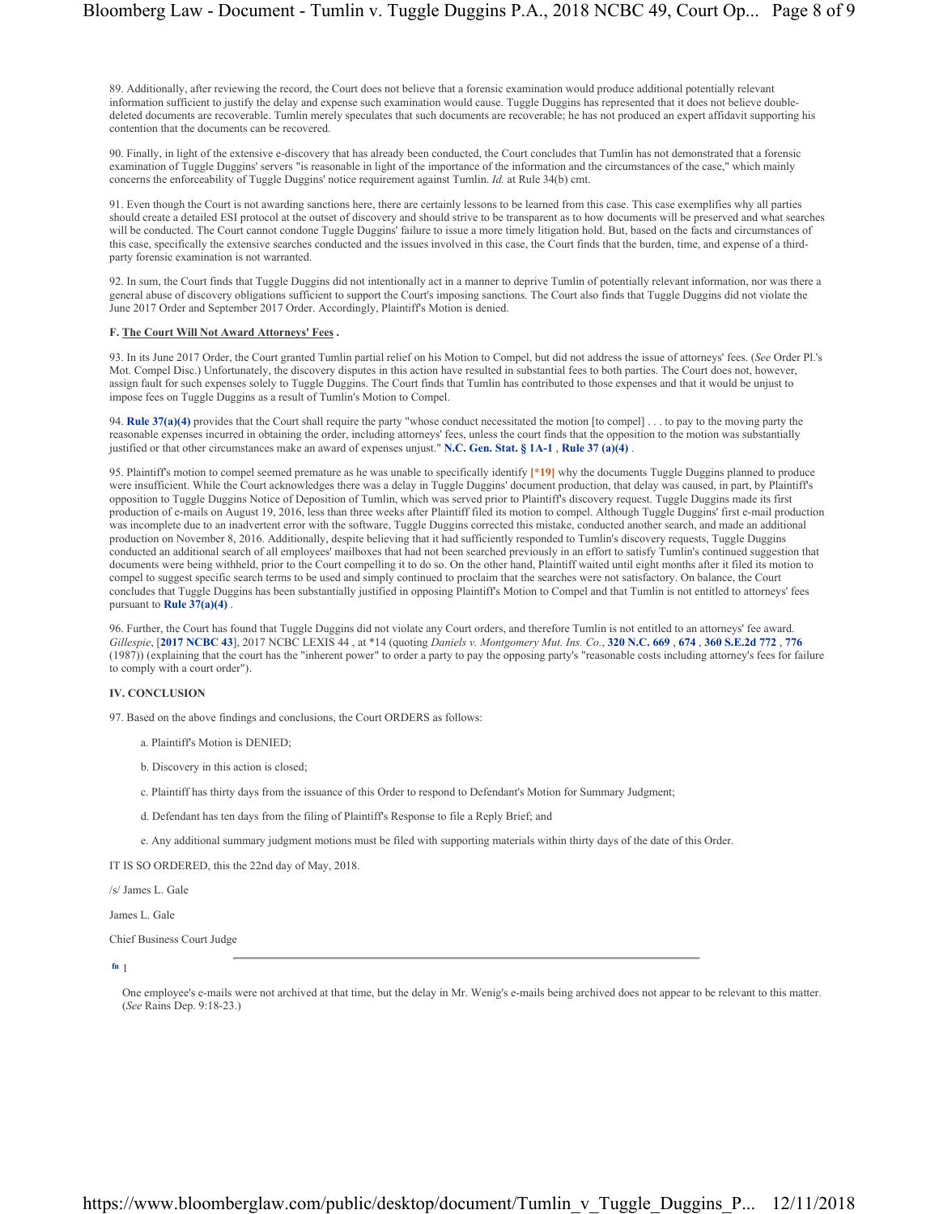89. Additionally, after reviewing the record, the Court does not believe that a forensic examination would produce additional potentially relevant information sufficient to justify the delay and expense such examination would cause. Tuggle Duggins has represented that it does not believe doubledeleted documents are recoverable. Tumlin merely speculates that such documents are recoverable; he has not produced an expert affidavit supporting his contention that the documents can be recovered.

90. Finally, in light of the extensive e-discovery that has already been conducted, the Court concludes that Tumlin has not demonstrated that a forensic examination of Tuggle Duggins' servers "is reasonable in light of the importance of the information and the circumstances of the case," which mainly concerns the enforceability of Tuggle Duggins' notice requirement against Tumlin. *Id.* at Rule 34(b) cmt.

91. Even though the Court is not awarding sanctions here, there are certainly lessons to be learned from this case. This case exemplifies why all parties should create a detailed ESI protocol at the outset of discovery and should strive to be transparent as to how documents will be preserved and what searches will be conducted. The Court cannot condone Tuggle Duggins' failure to issue a more timely litigation hold. But, based on the facts and circumstances of this case, specifically the extensive searches conducted and the issues involved in this case, the Court finds that the burden, time, and expense of a thirdparty forensic examination is not warranted.

92. In sum, the Court finds that Tuggle Duggins did not intentionally act in a manner to deprive Tumlin of potentially relevant information, nor was there a general abuse of discovery obligations sufficient to support the Court's imposing sanctions. The Court also finds that Tuggle Duggins did not violate the June 2017 Order and September 2017 Order. Accordingly, Plaintiff's Motion is denied.

# **F. The Court Will Not Award Attorneys' Fees .**

93. In its June 2017 Order, the Court granted Tumlin partial relief on his Motion to Compel, but did not address the issue of attorneys' fees. (*See* Order Pl.'s Mot. Compel Disc.) Unfortunately, the discovery disputes in this action have resulted in substantial fees to both parties. The Court does not, however, assign fault for such expenses solely to Tuggle Duggins. The Court finds that Tumlin has contributed to those expenses and that it would be unjust to impose fees on Tuggle Duggins as a result of Tumlin's Motion to Compel.

94. **Rule 37(a)(4)** provides that the Court shall require the party "whose conduct necessitated the motion [to compel] . . . to pay to the moving party the reasonable expenses incurred in obtaining the order, including attorneys' fees, unless the court finds that the opposition to the motion was substantially justified or that other circumstances make an award of expenses unjust." **N.C. Gen. Stat. § 1A-1** , **Rule 37 (a)(4)** .

95. Plaintiff's motion to compel seemed premature as he was unable to specifically identify **[\*19]** why the documents Tuggle Duggins planned to produce were insufficient. While the Court acknowledges there was a delay in Tuggle Duggins' document production, that delay was caused, in part, by Plaintiff's opposition to Tuggle Duggins Notice of Deposition of Tumlin, which was served prior to Plaintiff's discovery request. Tuggle Duggins made its first production of e-mails on August 19, 2016, less than three weeks after Plaintiff filed its motion to compel. Although Tuggle Duggins' first e-mail production was incomplete due to an inadvertent error with the software, Tuggle Duggins corrected this mistake, conducted another search, and made an additional production on November 8, 2016. Additionally, despite believing that it had sufficiently responded to Tumlin's discovery requests, Tuggle Duggins conducted an additional search of all employees' mailboxes that had not been searched previously in an effort to satisfy Tumlin's continued suggestion that documents were being withheld, prior to the Court compelling it to do so. On the other hand, Plaintiff waited until eight months after it filed its motion to compel to suggest specific search terms to be used and simply continued to proclaim that the searches were not satisfactory. On balance, the Court concludes that Tuggle Duggins has been substantially justified in opposing Plaintiff's Motion to Compel and that Tumlin is not entitled to attorneys' fees pursuant to **Rule 37(a)(4)** .

96. Further, the Court has found that Tuggle Duggins did not violate any Court orders, and therefore Tumlin is not entitled to an attorneys' fee award. *Gillespie*, [**2017 NCBC 43**], 2017 NCBC LEXIS 44 , at \*14 (quoting *Daniels v. Montgomery Mut. Ins. Co.*, **320 N.C. 669** , **674** , **360 S.E.2d 772** , **776** (1987)) (explaining that the court has the "inherent power" to order a party to pay the opposing party's "reasonable costs including attorney's fees for failure to comply with a court order").

# **IV. CONCLUSION**

97. Based on the above findings and conclusions, the Court ORDERS as follows:

- a. Plaintiff's Motion is DENIED;
- b. Discovery in this action is closed;
- c. Plaintiff has thirty days from the issuance of this Order to respond to Defendant's Motion for Summary Judgment;
- d. Defendant has ten days from the filing of Plaintiff's Response to file a Reply Brief; and
- e. Any additional summary judgment motions must be filed with supporting materials within thirty days of the date of this Order.

IT IS SO ORDERED, this the 22nd day of May, 2018.

/s/ James L. Gale

James L. Gale

Chief Business Court Judge

**fn** 1

One employee's e-mails were not archived at that time, but the delay in Mr. Wenig's e-mails being archived does not appear to be relevant to this matter. (*See* Rains Dep. 9:18-23.)